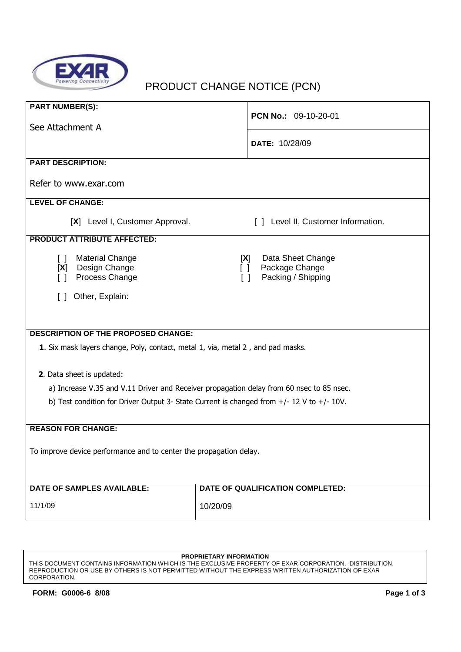

# PRODUCT CHANGE NOTICE (PCN)

| <b>PART NUMBER(S):</b>                                                                         | PCN No.: 09-10-20-01                                                             |  |
|------------------------------------------------------------------------------------------------|----------------------------------------------------------------------------------|--|
| See Attachment A                                                                               |                                                                                  |  |
|                                                                                                | DATE: 10/28/09                                                                   |  |
| <b>PART DESCRIPTION:</b>                                                                       |                                                                                  |  |
| Refer to www.exar.com                                                                          |                                                                                  |  |
| <b>LEVEL OF CHANGE:</b>                                                                        |                                                                                  |  |
| [X] Level I, Customer Approval.                                                                | [ ] Level II, Customer Information.                                              |  |
| <b>PRODUCT ATTRIBUTE AFFECTED:</b>                                                             |                                                                                  |  |
| <b>Material Change</b><br>$\Box$<br>[X] Design Change<br>Process Change<br>$\Box$              | Data Sheet Change<br>[X]<br>Package Change<br>H.<br>Packing / Shipping<br>$\Box$ |  |
| Other, Explain:<br>$\Box$                                                                      |                                                                                  |  |
|                                                                                                |                                                                                  |  |
| <b>DESCRIPTION OF THE PROPOSED CHANGE:</b>                                                     |                                                                                  |  |
| 1. Six mask layers change, Poly, contact, metal 1, via, metal 2, and pad masks.                |                                                                                  |  |
| 2. Data sheet is updated:                                                                      |                                                                                  |  |
| a) Increase V.35 and V.11 Driver and Receiver propagation delay from 60 nsec to 85 nsec.       |                                                                                  |  |
| b) Test condition for Driver Output 3- State Current is changed from $+/- 12$ V to $+/- 10$ V. |                                                                                  |  |
|                                                                                                |                                                                                  |  |
| <b>REASON FOR CHANGE:</b>                                                                      |                                                                                  |  |
| To improve device performance and to center the propagation delay.                             |                                                                                  |  |
|                                                                                                |                                                                                  |  |
| <b>DATE OF SAMPLES AVAILABLE:</b>                                                              | DATE OF QUALIFICATION COMPLETED:                                                 |  |
| 11/1/09                                                                                        | 10/20/09                                                                         |  |

#### **PROPRIETARY INFORMATION**

THIS DOCUMENT CONTAINS INFORMATION WHICH IS THE EXCLUSIVE PROPERTY OF EXAR CORPORATION. DISTRIBUTION, REPRODUCTION OR USE BY OTHERS IS NOT PERMITTED WITHOUT THE EXPRESS WRITTEN AUTHORIZATION OF EXAR CORPORATION.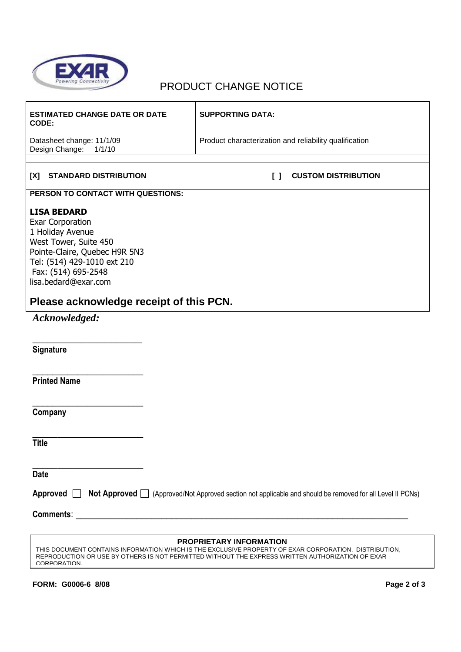

 $\mathsf{r}$ 

## PRODUCT CHANGE NOTICE

| <b>ESTIMATED CHANGE DATE OR DATE</b><br>CODE:                                                                                                                                                                                                        | <b>SUPPORTING DATA:</b>                                |  |
|------------------------------------------------------------------------------------------------------------------------------------------------------------------------------------------------------------------------------------------------------|--------------------------------------------------------|--|
| Datasheet change: 11/1/09<br>Design Change:<br>1/1/10                                                                                                                                                                                                | Product characterization and reliability qualification |  |
|                                                                                                                                                                                                                                                      |                                                        |  |
| <b>STANDARD DISTRIBUTION</b><br>[X]                                                                                                                                                                                                                  | <b>CUSTOM DISTRIBUTION</b><br>ΙI                       |  |
| PERSON TO CONTACT WITH QUESTIONS:                                                                                                                                                                                                                    |                                                        |  |
| <b>LISA BEDARD</b><br><b>Exar Corporation</b><br>1 Holiday Avenue<br>West Tower, Suite 450<br>Pointe-Claire, Quebec H9R 5N3<br>Tel: (514) 429-1010 ext 210<br>Fax: (514) 695-2548<br>lisa.bedard@exar.com                                            |                                                        |  |
| Please acknowledge receipt of this PCN.                                                                                                                                                                                                              |                                                        |  |
| Acknowledged:                                                                                                                                                                                                                                        |                                                        |  |
|                                                                                                                                                                                                                                                      |                                                        |  |
| Signature                                                                                                                                                                                                                                            |                                                        |  |
| <b>Printed Name</b>                                                                                                                                                                                                                                  |                                                        |  |
| Company                                                                                                                                                                                                                                              |                                                        |  |
| <b>Title</b>                                                                                                                                                                                                                                         |                                                        |  |
| <b>Date</b>                                                                                                                                                                                                                                          |                                                        |  |
| Approved <b>Not Approved</b> (Approved/Not Approved section not applicable and should be removed for all Level II PCNs)                                                                                                                              |                                                        |  |
|                                                                                                                                                                                                                                                      |                                                        |  |
| PROPRIETARY INFORMATION<br>THIS DOCUMENT CONTAINS INFORMATION WHICH IS THE EXCLUSIVE PROPERTY OF EXAR CORPORATION. DISTRIBUTION,<br>REPRODUCTION OR USE BY OTHERS IS NOT PERMITTED WITHOUT THE EXPRESS WRITTEN AUTHORIZATION OF EXAR<br>CORPORATION. |                                                        |  |

 $\overline{\phantom{a}}$